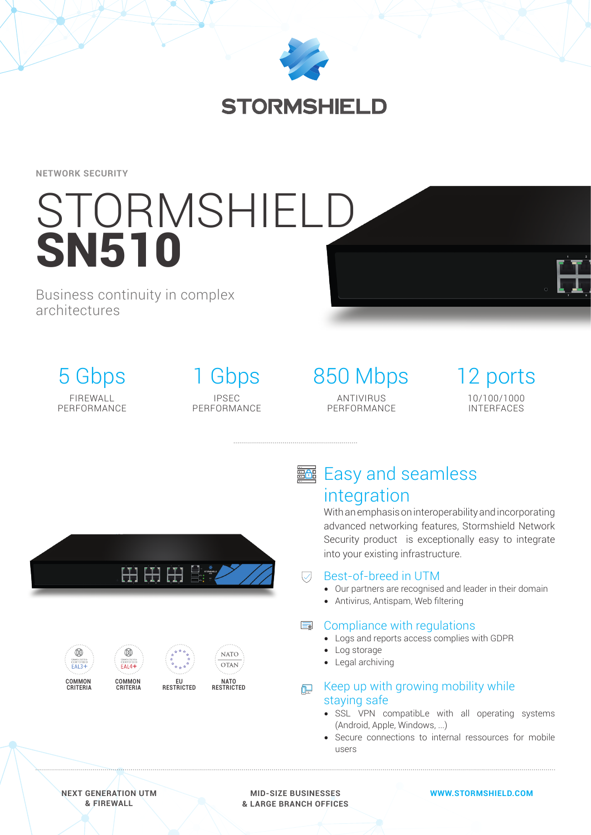

## **STORMSHIELD**

**NETWORK SECURITY**

# **STORMSHIELD** SN510

Business continuity in complex architectures

> 5 Gbps FIREWALL PERFORMANCE

1 Gbps IPSEC PERFORMANCE 850 Mbps ANTIVIRUS PERFORMANCE

12 ports 10/100/1000 INTERFACES

田田田島



**COMMON CRITERIA**





**EU RESTRICTED**

**NATO RESTRICTED**

# **图 Easy and seamless** integration

With an emphasis on interoperability and incorporating advanced networking features, Stormshield Network Security product is exceptionally easy to integrate into your existing infrastructure.

#### Best-of-breed in UTM  $\overline{\vee}$

- Our partners are recognised and leader in their domain
- Antivirus, Antispam, Web filtering

## **■ Compliance with regulations**

- Logs and reports access complies with GDPR
- Log storage
- Legal archiving

### E Keep up with growing mobility while staying safe

- SSL VPN compatibLe with all operating systems (Android, Apple, Windows, ...)
- Secure connections to internal ressources for mobile users

**MID-SIZE BUSINESSES & LARGE BRANCH OFFICES**

#### **WWW.STORMSHIELD.COM**